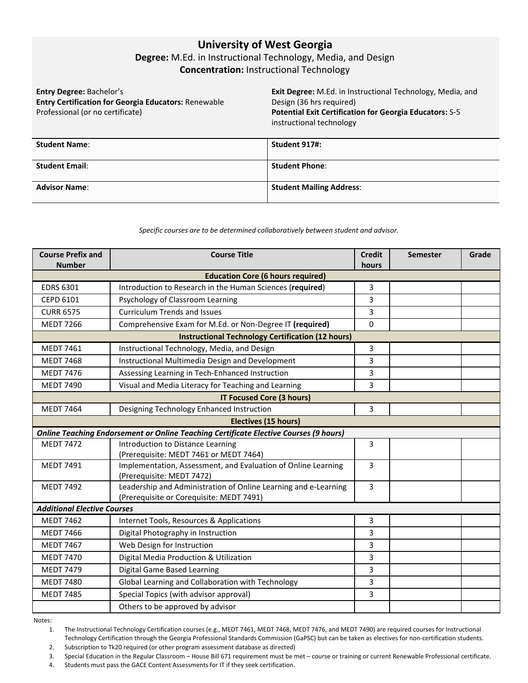# **University of West Georgia**

# **Degree:** M.Ed. in Instructional Technology, Media, and Design **Concentration:** Instructional Technology

**Entry Degree:** Bachelor's **Entry Certification for Georgia Educators:** Renewable Professional (or no certificate)

**Exit Degree:** M.Ed. in Instructional Technology, Media, and Design (36 hrs required) **Potential Exit Certification for Georgia Educators:** S-5 instructional technology

| <b>Student Name:</b>  | Student 917#:                   |
|-----------------------|---------------------------------|
| <b>Student Email:</b> | <b>Student Phone:</b>           |
| <b>Advisor Name:</b>  | <b>Student Mailing Address:</b> |

#### *Specific courses are to be determined collaboratively between student and advisor.*

| <b>Course Prefix and</b><br><b>Number</b>                | <b>Course Title</b>                                                                        | <b>Credit</b><br>hours | <b>Semester</b> | Grade |  |  |
|----------------------------------------------------------|--------------------------------------------------------------------------------------------|------------------------|-----------------|-------|--|--|
| <b>Education Core (6 hours required)</b>                 |                                                                                            |                        |                 |       |  |  |
| <b>EDRS 6301</b>                                         | Introduction to Research in the Human Sciences (required)                                  | 3                      |                 |       |  |  |
| <b>CEPD 6101</b>                                         | Psychology of Classroom Learning                                                           | 3                      |                 |       |  |  |
| <b>CURR 6575</b>                                         | <b>Curriculum Trends and Issues</b>                                                        | 3                      |                 |       |  |  |
| <b>MEDT 7266</b>                                         | Comprehensive Exam for M.Ed. or Non-Degree IT (required)                                   | $\mathbf 0$            |                 |       |  |  |
| <b>Instructional Technology Certification (12 hours)</b> |                                                                                            |                        |                 |       |  |  |
| <b>MEDT 7461</b>                                         | Instructional Technology, Media, and Design                                                | 3                      |                 |       |  |  |
| <b>MEDT 7468</b>                                         | Instructional Multimedia Design and Development                                            | 3                      |                 |       |  |  |
| <b>MEDT 7476</b>                                         | Assessing Learning in Tech-Enhanced Instruction                                            | 3                      |                 |       |  |  |
| <b>MEDT 7490</b>                                         | Visual and Media Literacy for Teaching and Learning                                        | 3                      |                 |       |  |  |
| <b>IT Focused Core (3 hours)</b>                         |                                                                                            |                        |                 |       |  |  |
| <b>MEDT 7464</b>                                         | Designing Technology Enhanced Instruction                                                  | 3                      |                 |       |  |  |
|                                                          | <b>Electives (15 hours)</b>                                                                |                        |                 |       |  |  |
|                                                          | Online Teaching Endorsement or Online Teaching Certificate Elective Courses (9 hours)      |                        |                 |       |  |  |
| <b>MEDT 7472</b>                                         | Introduction to Distance Learning                                                          | 3                      |                 |       |  |  |
|                                                          | (Prerequisite: MEDT 7461 or MEDT 7464)                                                     |                        |                 |       |  |  |
| <b>MEDT 7491</b>                                         | Implementation, Assessment, and Evaluation of Online Learning<br>(Prerequisite: MEDT 7472) | 3                      |                 |       |  |  |
| <b>MEDT 7492</b>                                         | Leadership and Administration of Online Learning and e-Learning                            | 3                      |                 |       |  |  |
|                                                          | (Prerequisite or Corequisite: MEDT 7491)                                                   |                        |                 |       |  |  |
| <b>Additional Elective Courses</b>                       |                                                                                            |                        |                 |       |  |  |
| <b>MEDT 7462</b>                                         | Internet Tools, Resources & Applications                                                   | 3                      |                 |       |  |  |
| <b>MEDT 7466</b>                                         | Digital Photography in Instruction                                                         | 3                      |                 |       |  |  |
| <b>MEDT 7467</b>                                         | Web Design for Instruction                                                                 | 3                      |                 |       |  |  |
| <b>MEDT 7470</b>                                         | Digital Media Production & Utilization                                                     | 3                      |                 |       |  |  |
| <b>MEDT 7479</b>                                         | Digital Game Based Learning                                                                | 3                      |                 |       |  |  |
| <b>MEDT 7480</b>                                         | Global Learning and Collaboration with Technology                                          | 3                      |                 |       |  |  |
| <b>MEDT 7485</b>                                         | Special Topics (with advisor approval)                                                     | 3                      |                 |       |  |  |
|                                                          | Others to be approved by advisor                                                           |                        |                 |       |  |  |

Notes:

1. The Instructional Technology Certification courses (e.g., MEDT 7461, MEDT 7468, MEDT 7476, and MEDT 7490) are required courses for Instructional Technology Certification through the Georgia Professional Standards Commission (GaPSC) but can be taken as electives for non-certification students.

2. Subscription to Tk20 required (or other program assessment database as directed)

3. Special Education in the Regular Classroom – House Bill 671 requirement must be met – course or training or current Renewable Professional certificate.

4. Students must pass the GACE Content Assessments for IT if they seek certification.